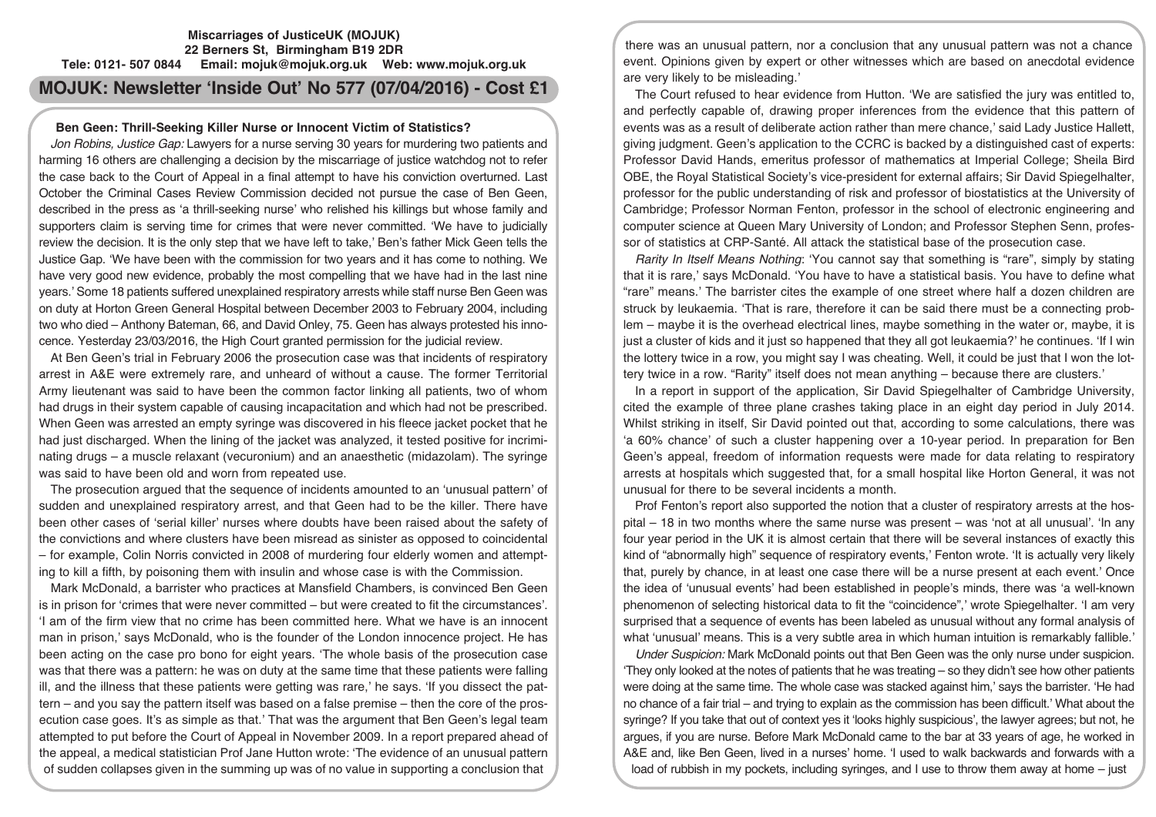## **Miscarriages of JusticeUK (MOJUK) 22 Berners St, Birmingham B19 2DR Tele: 0121- 507 0844 Email: mojuk@mojuk.org.uk Web: www.mojuk.org.uk**

# **MOJUK: Newsletter 'Inside Out' No 577 (07/04/2016) - Cost £1**

# **Ben Geen: Thrill-Seeking Killer Nurse or Innocent Victim of Statistics?**

*Jon Robins, Justice Gap:* Lawyers for a nurse serving 30 years for murdering two patients and harming 16 others are challenging a decision by the miscarriage of justice watchdog not to refer the case back to the Court of Appeal in a final attempt to have his conviction overturned. Last October the Criminal Cases Review Commission decided not pursue the case of Ben Geen, described in the press as 'a thrill-seeking nurse' who relished his killings but whose family and supporters claim is serving time for crimes that were never committed. 'We have to judicially review the decision. It is the only step that we have left to take,' Ben's father Mick Geen tells the Justice Gap. 'We have been with the commission for two years and it has come to nothing. We have very good new evidence, probably the most compelling that we have had in the last nine years.' Some 18 patients suffered unexplained respiratory arrests while staff nurse Ben Geen was on duty at Horton Green General Hospital between December 2003 to February 2004, including two who died – Anthony Bateman, 66, and David Onley, 75. Geen has always protested his innocence. Yesterday 23/03/2016, the High Court granted permission for the judicial review.

At Ben Geen's trial in February 2006 the prosecution case was that incidents of respiratory arrest in A&E were extremely rare, and unheard of without a cause. The former Territorial Army lieutenant was said to have been the common factor linking all patients, two of whom had drugs in their system capable of causing incapacitation and which had not be prescribed. When Geen was arrested an empty syringe was discovered in his fleece jacket pocket that he had just discharged. When the lining of the jacket was analyzed, it tested positive for incriminating drugs – a muscle relaxant (vecuronium) and an anaesthetic (midazolam). The syringe was said to have been old and worn from repeated use.

The prosecution argued that the sequence of incidents amounted to an 'unusual pattern' of sudden and unexplained respiratory arrest, and that Geen had to be the killer. There have been other cases of 'serial killer' nurses where doubts have been raised about the safety of the convictions and where clusters have been misread as sinister as opposed to coincidental – for example, Colin Norris convicted in 2008 of murdering four elderly women and attempting to kill a fifth, by poisoning them with insulin and whose case is with the Commission.

Mark McDonald, a barrister who practices at Mansfield Chambers, is convinced Ben Geen is in prison for 'crimes that were never committed – but were created to fit the circumstances'. 'I am of the firm view that no crime has been committed here. What we have is an innocent man in prison,' says McDonald, who is the founder of the London innocence project. He has been acting on the case pro bono for eight years. 'The whole basis of the prosecution case was that there was a pattern: he was on duty at the same time that these patients were falling ill, and the illness that these patients were getting was rare,' he says. 'If you dissect the pattern – and you say the pattern itself was based on a false premise – then the core of the prosecution case goes. It's as simple as that.' That was the argument that Ben Geen's legal team attempted to put before the Court of Appeal in November 2009. In a report prepared ahead of the appeal, a medical statistician Prof Jane Hutton wrote: 'The evidence of an unusual pattern of sudden collapses given in the summing up was of no value in supporting a conclusion that

there was an unusual pattern, nor a conclusion that any unusual pattern was not a chance event. Opinions given by expert or other witnesses which are based on anecdotal evidence are very likely to be misleading.'

The Court refused to hear evidence from Hutton. 'We are satisfied the jury was entitled to, and perfectly capable of, drawing proper inferences from the evidence that this pattern of events was as a result of deliberate action rather than mere chance,' said Lady Justice Hallett, giving judgment. Geen's application to the CCRC is backed by a distinguished cast of experts: Professor David Hands, emeritus professor of mathematics at Imperial College; Sheila Bird OBE, the Royal Statistical Society's vice-president for external affairs; Sir David Spiegelhalter, professor for the public understanding of risk and professor of biostatistics at the University of Cambridge; Professor Norman Fenton, professor in the school of electronic engineering and computer science at Queen Mary University of London; and Professor Stephen Senn, professor of statistics at CRP-Santé. All attack the statistical base of the prosecution case.

*Rarity In Itself Means Nothing*: 'You cannot say that something is "rare", simply by stating that it is rare,' says McDonald. 'You have to have a statistical basis. You have to define what "rare" means.' The barrister cites the example of one street where half a dozen children are struck by leukaemia. 'That is rare, therefore it can be said there must be a connecting problem – maybe it is the overhead electrical lines, maybe something in the water or, maybe, it is just a cluster of kids and it just so happened that they all got leukaemia?' he continues. 'If I win the lottery twice in a row, you might say I was cheating. Well, it could be just that I won the lottery twice in a row. "Rarity" itself does not mean anything – because there are clusters.'

In a report in support of the application, Sir David Spiegelhalter of Cambridge University, cited the example of three plane crashes taking place in an eight day period in July 2014. Whilst striking in itself, Sir David pointed out that, according to some calculations, there was 'a 60% chance' of such a cluster happening over a 10-year period. In preparation for Ben Geen's appeal, freedom of information requests were made for data relating to respiratory arrests at hospitals which suggested that, for a small hospital like Horton General, it was not unusual for there to be several incidents a month.

Prof Fenton's report also supported the notion that a cluster of respiratory arrests at the hospital – 18 in two months where the same nurse was present – was 'not at all unusual'. 'In any four year period in the UK it is almost certain that there will be several instances of exactly this kind of "abnormally high" sequence of respiratory events,' Fenton wrote. 'It is actually very likely that, purely by chance, in at least one case there will be a nurse present at each event.' Once the idea of 'unusual events' had been established in people's minds, there was 'a well-known phenomenon of selecting historical data to fit the "coincidence",' wrote Spiegelhalter. 'I am very surprised that a sequence of events has been labeled as unusual without any formal analysis of what 'unusual' means. This is a very subtle area in which human intuition is remarkably fallible.'

*Under Suspicion:* Mark McDonald points out that Ben Geen was the only nurse under suspicion. 'They only looked at the notes of patients that he was treating – so they didn't see how other patients were doing at the same time. The whole case was stacked against him,' says the barrister. 'He had no chance of a fair trial – and trying to explain as the commission has been difficult.' What about the syringe? If you take that out of context yes it 'looks highly suspicious', the lawyer agrees; but not, he argues, if you are nurse. Before Mark McDonald came to the bar at 33 years of age, he worked in A&E and, like Ben Geen, lived in a nurses' home. 'I used to walk backwards and forwards with a load of rubbish in my pockets, including syringes, and I use to throw them away at home – just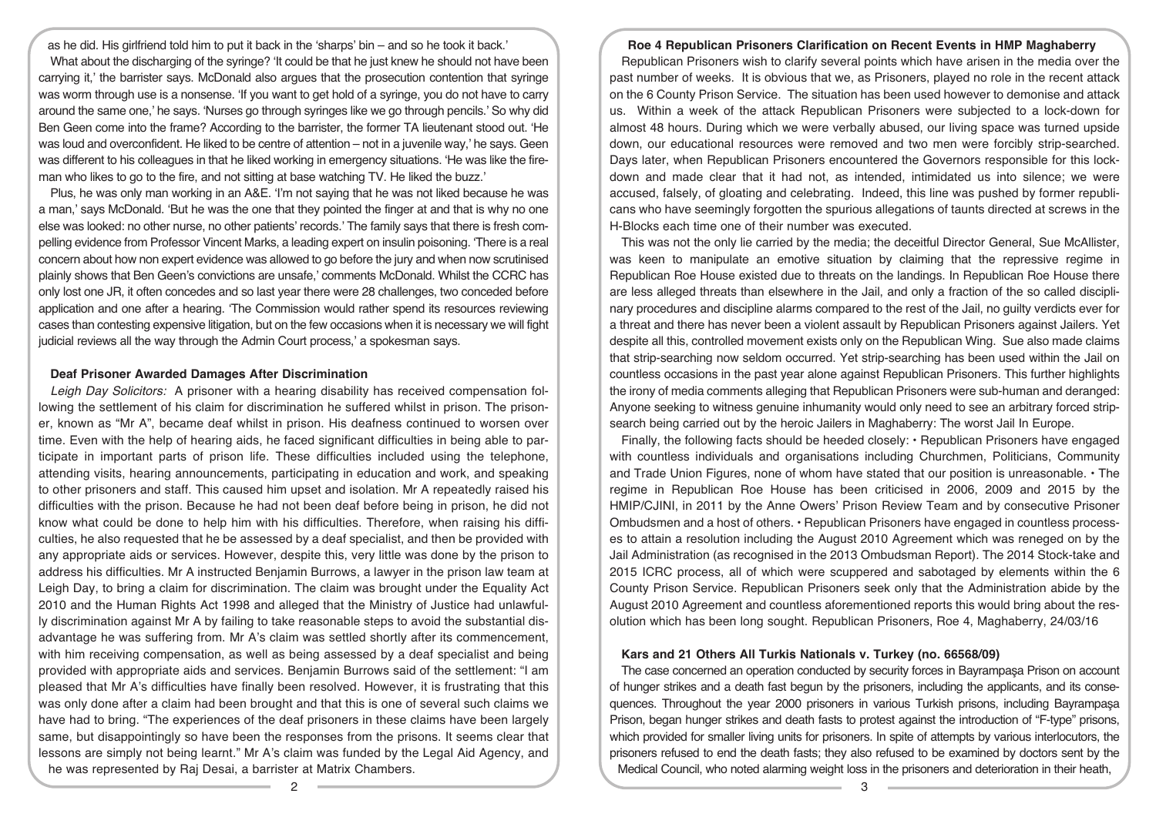as he did. His girlfriend told him to put it back in the 'sharps' bin – and so he took it back.' What about the discharging of the syringe? 'It could be that he just knew he should not have been carrying it,' the barrister says. McDonald also argues that the prosecution contention that syringe was worm through use is a nonsense. 'If you want to get hold of a syringe, you do not have to carry around the same one,' he says. 'Nurses go through syringes like we go through pencils.' So why did Ben Geen come into the frame? According to the barrister, the former TA lieutenant stood out. 'He was loud and overconfident. He liked to be centre of attention – not in a juvenile way,' he says. Geen was different to his colleagues in that he liked working in emergency situations. 'He was like the fireman who likes to go to the fire, and not sitting at base watching TV. He liked the buzz.'

Plus, he was only man working in an A&E. 'I'm not saying that he was not liked because he was a man,' says McDonald. 'But he was the one that they pointed the finger at and that is why no one else was looked: no other nurse, no other patients' records.' The family says that there is fresh compelling evidence from Professor Vincent Marks, a leading expert on insulin poisoning. 'There is a real concern about how non expert evidence was allowed to go before the jury and when now scrutinised plainly shows that Ben Geen's convictions are unsafe,' comments McDonald. Whilst the CCRC has only lost one JR, it often concedes and so last year there were 28 challenges, two conceded before application and one after a hearing. 'The Commission would rather spend its resources reviewing cases than contesting expensive litigation, but on the few occasions when it is necessary we will fight judicial reviews all the way through the Admin Court process,' a spokesman says.

## **Deaf Prisoner Awarded Damages After Discrimination**

*Leigh Day Solicitors:* A prisoner with a hearing disability has received compensation following the settlement of his claim for discrimination he suffered whilst in prison. The prisoner, known as "Mr A", became deaf whilst in prison. His deafness continued to worsen over time. Even with the help of hearing aids, he faced significant difficulties in being able to participate in important parts of prison life. These difficulties included using the telephone, attending visits, hearing announcements, participating in education and work, and speaking to other prisoners and staff. This caused him upset and isolation. Mr A repeatedly raised his difficulties with the prison. Because he had not been deaf before being in prison, he did not know what could be done to help him with his difficulties. Therefore, when raising his difficulties, he also requested that he be assessed by a deaf specialist, and then be provided with any appropriate aids or services. However, despite this, very little was done by the prison to address his difficulties. Mr A instructed Benjamin Burrows, a lawyer in the prison law team at Leigh Day, to bring a claim for discrimination. The claim was brought under the Equality Act 2010 and the Human Rights Act 1998 and alleged that the Ministry of Justice had unlawfully discrimination against Mr A by failing to take reasonable steps to avoid the substantial disadvantage he was suffering from. Mr A's claim was settled shortly after its commencement, with him receiving compensation, as well as being assessed by a deaf specialist and being provided with appropriate aids and services. Benjamin Burrows said of the settlement: "I am pleased that Mr A's difficulties have finally been resolved. However, it is frustrating that this was only done after a claim had been brought and that this is one of several such claims we have had to bring. "The experiences of the deaf prisoners in these claims have been largely same, but disappointingly so have been the responses from the prisons. It seems clear that lessons are simply not being learnt." Mr A's claim was funded by the Legal Aid Agency, and he was represented by Raj Desai, a barrister at Matrix Chambers.

#### **Roe 4 Republican Prisoners Clarification on Recent Events in HMP Maghaberry**

Republican Prisoners wish to clarify several points which have arisen in the media over the past number of weeks. It is obvious that we, as Prisoners, played no role in the recent attack on the 6 County Prison Service. The situation has been used however to demonise and attack us. Within a week of the attack Republican Prisoners were subjected to a lock-down for almost 48 hours. During which we were verbally abused, our living space was turned upside down, our educational resources were removed and two men were forcibly strip-searched. Days later, when Republican Prisoners encountered the Governors responsible for this lockdown and made clear that it had not, as intended, intimidated us into silence; we were accused, falsely, of gloating and celebrating. Indeed, this line was pushed by former republicans who have seemingly forgotten the spurious allegations of taunts directed at screws in the H-Blocks each time one of their number was executed.

This was not the only lie carried by the media; the deceitful Director General, Sue McAllister, was keen to manipulate an emotive situation by claiming that the repressive regime in Republican Roe House existed due to threats on the landings. In Republican Roe House there are less alleged threats than elsewhere in the Jail, and only a fraction of the so called disciplinary procedures and discipline alarms compared to the rest of the Jail, no guilty verdicts ever for a threat and there has never been a violent assault by Republican Prisoners against Jailers. Yet despite all this, controlled movement exists only on the Republican Wing. Sue also made claims that strip-searching now seldom occurred. Yet strip-searching has been used within the Jail on countless occasions in the past year alone against Republican Prisoners. This further highlights the irony of media comments alleging that Republican Prisoners were sub-human and deranged: Anyone seeking to witness genuine inhumanity would only need to see an arbitrary forced stripsearch being carried out by the heroic Jailers in Maghaberry: The worst Jail In Europe.

Finally, the following facts should be heeded closely: • Republican Prisoners have engaged with countless individuals and organisations including Churchmen, Politicians, Community and Trade Union Figures, none of whom have stated that our position is unreasonable. • The regime in Republican Roe House has been criticised in 2006, 2009 and 2015 by the HMIP/CJINI, in 2011 by the Anne Owers' Prison Review Team and by consecutive Prisoner Ombudsmen and a host of others. • Republican Prisoners have engaged in countless processes to attain a resolution including the August 2010 Agreement which was reneged on by the Jail Administration (as recognised in the 2013 Ombudsman Report). The 2014 Stock-take and 2015 ICRC process, all of which were scuppered and sabotaged by elements within the 6 County Prison Service. Republican Prisoners seek only that the Administration abide by the August 2010 Agreement and countless aforementioned reports this would bring about the resolution which has been long sought. Republican Prisoners, Roe 4, Maghaberry, 24/03/16

#### **Kars and 21 Others All Turkis Nationals v. Turkey (no. 66568/09)**

The case concerned an operation conducted by security forces in Bayrampaşa Prison on account of hunger strikes and a death fast begun by the prisoners, including the applicants, and its consequences. Throughout the year 2000 prisoners in various Turkish prisons, including Bayrampaşa Prison, began hunger strikes and death fasts to protest against the introduction of "F-type" prisons, which provided for smaller living units for prisoners. In spite of attempts by various interlocutors, the prisoners refused to end the death fasts; they also refused to be examined by doctors sent by the Medical Council, who noted alarming weight loss in the prisoners and deterioration in their heath,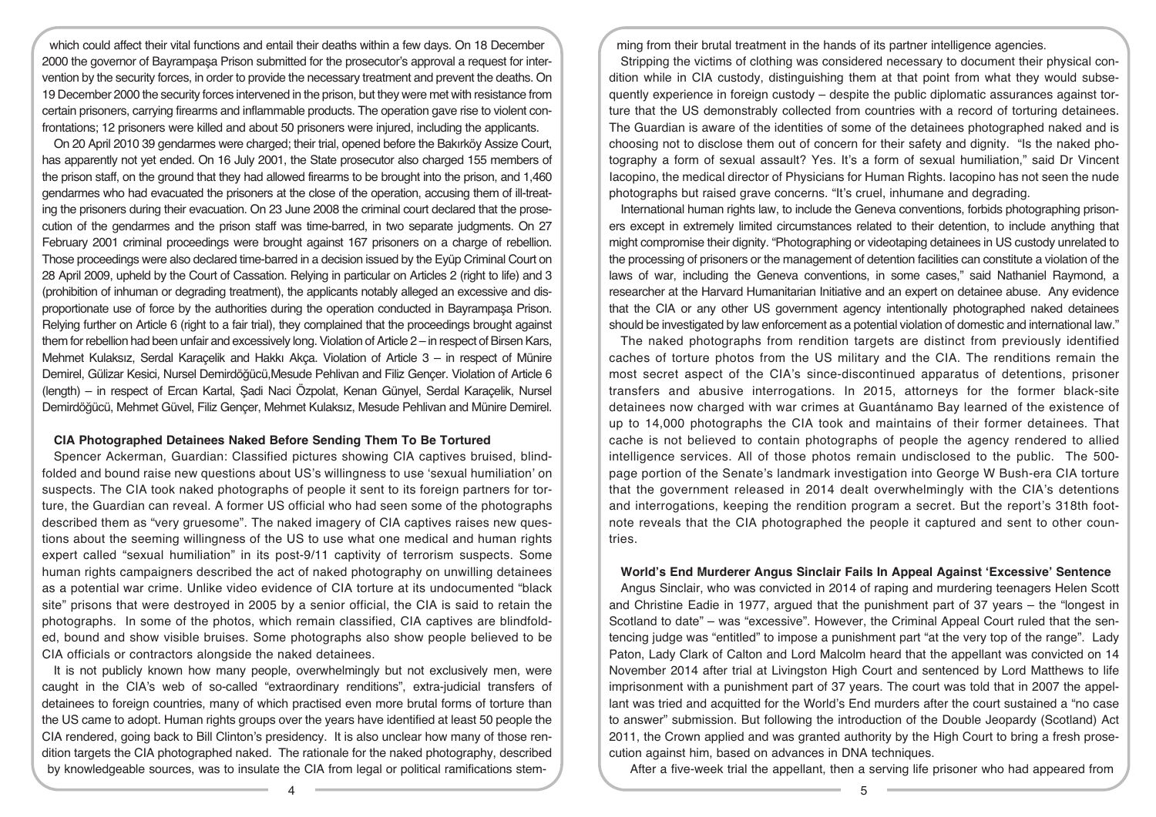which could affect their vital functions and entail their deaths within a few days. On 18 December 2000 the governor of Bayrampaşa Prison submitted for the prosecutor's approval a request for intervention by the security forces, in order to provide the necessary treatment and prevent the deaths. On 19 December 2000 the security forces intervened in the prison, but they were met with resistance from certain prisoners, carrying firearms and inflammable products. The operation gave rise to violent confrontations; 12 prisoners were killed and about 50 prisoners were injured, including the applicants.

On 20 April 2010 39 gendarmes were charged; their trial, opened before the Bakırköy Assize Court, has apparently not yet ended. On 16 July 2001, the State prosecutor also charged 155 members of the prison staff, on the ground that they had allowed firearms to be brought into the prison, and 1,460 gendarmes who had evacuated the prisoners at the close of the operation, accusing them of ill-treating the prisoners during their evacuation. On 23 June 2008 the criminal court declared that the prosecution of the gendarmes and the prison staff was time-barred, in two separate judgments. On 27 February 2001 criminal proceedings were brought against 167 prisoners on a charge of rebellion. Those proceedings were also declared time-barred in a decision issued by the Eyüp Criminal Court on 28 April 2009, upheld by the Court of Cassation. Relying in particular on Articles 2 (right to life) and 3 (prohibition of inhuman or degrading treatment), the applicants notably alleged an excessive and disproportionate use of force by the authorities during the operation conducted in Bayrampaşa Prison. Relying further on Article 6 (right to a fair trial), they complained that the proceedings brought against them for rebellion had been unfair and excessively long. Violation of Article 2 – in respect of Birsen Kars, Mehmet Kulaksız, Serdal Karaçelik and Hakkı Akça. Violation of Article 3 – in respect of Münire Demirel, Gülizar Kesici, Nursel Demirdöğücü, Mesude Pehlivan and Filiz Gençer. Violation of Article 6 (length) – in respect of Ercan Kartal, Şadi Naci Özpolat, Kenan Günyel, Serdal Karaçelik, Nursel Demirdöğücü, Mehmet Güvel, Filiz Gençer, Mehmet Kulaksız, Mesude Pehlivan and Münire Demirel.

## **CIA Photographed Detainees Naked Before Sending Them To Be Tortured**

Spencer Ackerman, Guardian: Classified pictures showing CIA captives bruised, blindfolded and bound raise new questions about US's willingness to use 'sexual humiliation' on suspects. The CIA took naked photographs of people it sent to its foreign partners for torture, the Guardian can reveal. A former US official who had seen some of the photographs described them as "very gruesome". The naked imagery of CIA captives raises new questions about the seeming willingness of the US to use what one medical and human rights expert called "sexual humiliation" in its post-9/11 captivity of terrorism suspects. Some human rights campaigners described the act of naked photography on unwilling detainees as a potential war crime. Unlike video evidence of CIA torture at its undocumented "black site" prisons that were destroyed in 2005 by a senior official, the CIA is said to retain the photographs. In some of the photos, which remain classified, CIA captives are blindfolded, bound and show visible bruises. Some photographs also show people believed to be CIA officials or contractors alongside the naked detainees.

It is not publicly known how many people, overwhelmingly but not exclusively men, were caught in the CIA's web of so-called "extraordinary renditions", extra-judicial transfers of detainees to foreign countries, many of which practised even more brutal forms of torture than the US came to adopt. Human rights groups over the years have identified at least 50 people the CIA rendered, going back to Bill Clinton's presidency. It is also unclear how many of those rendition targets the CIA photographed naked. The rationale for the naked photography, described by knowledgeable sources, was to insulate the CIA from legal or political ramifications stemming from their brutal treatment in the hands of its partner intelligence agencies.

Stripping the victims of clothing was considered necessary to document their physical condition while in CIA custody, distinguishing them at that point from what they would subsequently experience in foreign custody – despite the public diplomatic assurances against torture that the US demonstrably collected from countries with a record of torturing detainees. The Guardian is aware of the identities of some of the detainees photographed naked and is choosing not to disclose them out of concern for their safety and dignity. "Is the naked photography a form of sexual assault? Yes. It's a form of sexual humiliation," said Dr Vincent Iacopino, the medical director of Physicians for Human Rights. Iacopino has not seen the nude photographs but raised grave concerns. "It's cruel, inhumane and degrading.

International human rights law, to include the Geneva conventions, forbids photographing prisoners except in extremely limited circumstances related to their detention, to include anything that might compromise their dignity. "Photographing or videotaping detainees in US custody unrelated to the processing of prisoners or the management of detention facilities can constitute a violation of the laws of war, including the Geneva conventions, in some cases," said Nathaniel Raymond, a researcher at the Harvard Humanitarian Initiative and an expert on detainee abuse. Any evidence that the CIA or any other US government agency intentionally photographed naked detainees should be investigated by law enforcement as a potential violation of domestic and international law."

The naked photographs from rendition targets are distinct from previously identified caches of torture photos from the US military and the CIA. The renditions remain the most secret aspect of the CIA's since-discontinued apparatus of detentions, prisoner transfers and abusive interrogations. In 2015, attorneys for the former black-site detainees now charged with war crimes at Guantánamo Bay learned of the existence of up to 14,000 photographs the CIA took and maintains of their former detainees. That cache is not believed to contain photographs of people the agency rendered to allied intelligence services. All of those photos remain undisclosed to the public. The 500 page portion of the Senate's landmark investigation into George W Bush-era CIA torture that the government released in 2014 dealt overwhelmingly with the CIA's detentions and interrogations, keeping the rendition program a secret. But the report's 318th footnote reveals that the CIA photographed the people it captured and sent to other countries.

#### **World's End Murderer Angus Sinclair Fails In Appeal Against 'Excessive' Sentence**

Angus Sinclair, who was convicted in 2014 of raping and murdering teenagers Helen Scott and Christine Eadie in 1977, argued that the punishment part of 37 years – the "longest in Scotland to date" – was "excessive". However, the Criminal Appeal Court ruled that the sentencing judge was "entitled" to impose a punishment part "at the very top of the range". Lady Paton, Lady Clark of Calton and Lord Malcolm heard that the appellant was convicted on 14 November 2014 after trial at Livingston High Court and sentenced by Lord Matthews to life imprisonment with a punishment part of 37 years. The court was told that in 2007 the appellant was tried and acquitted for the World's End murders after the court sustained a "no case to answer" submission. But following the introduction of the Double Jeopardy (Scotland) Act 2011, the Crown applied and was granted authority by the High Court to bring a fresh prosecution against him, based on advances in DNA techniques.

After a five-week trial the appellant, then a serving life prisoner who had appeared from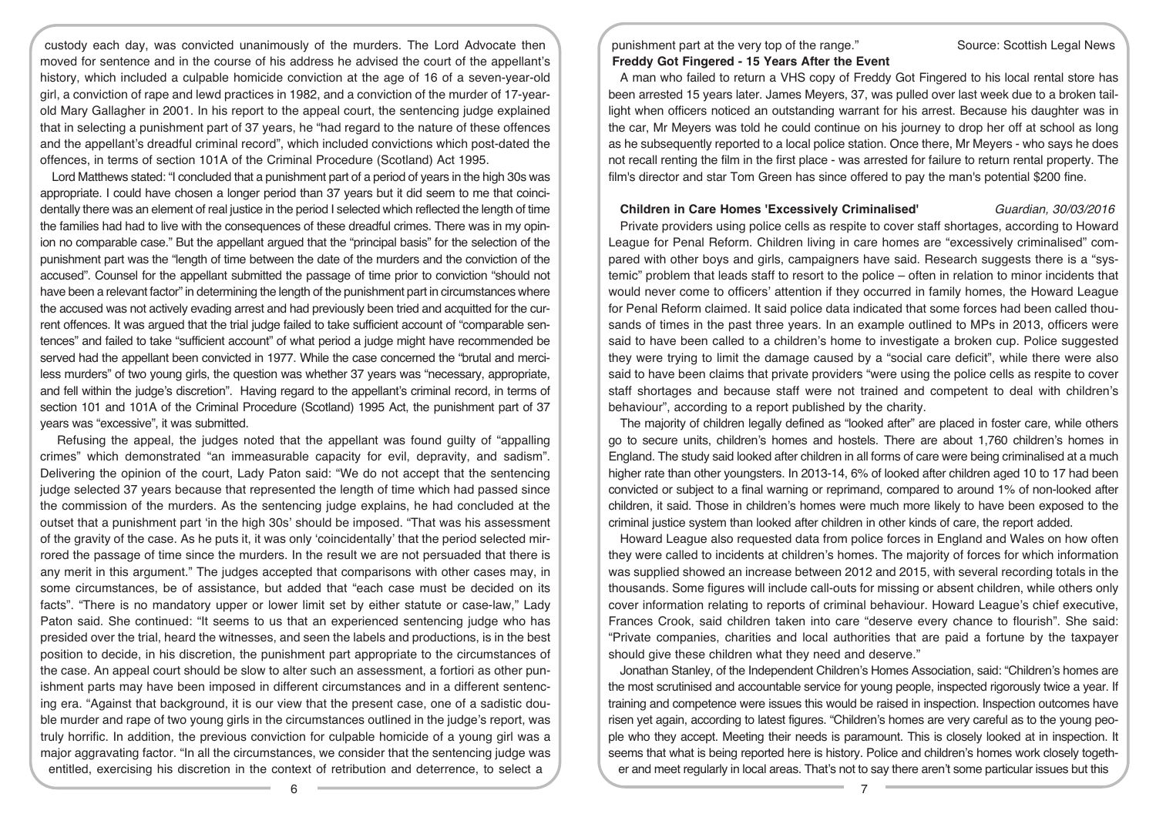custody each day, was convicted unanimously of the murders. The Lord Advocate then moved for sentence and in the course of his address he advised the court of the appellant's history, which included a culpable homicide conviction at the age of 16 of a seven-year-old girl, a conviction of rape and lewd practices in 1982, and a conviction of the murder of 17-yearold Mary Gallagher in 2001. In his report to the appeal court, the sentencing judge explained that in selecting a punishment part of 37 years, he "had regard to the nature of these offences and the appellant's dreadful criminal record", which included convictions which post-dated the offences, in terms of section 101A of the Criminal Procedure (Scotland) Act 1995.

Lord Matthews stated: "I concluded that a punishment part of a period of years in the high 30s was appropriate. I could have chosen a longer period than 37 years but it did seem to me that coincidentally there was an element of real justice in the period I selected which reflected the length of time the families had had to live with the consequences of these dreadful crimes. There was in my opinion no comparable case." But the appellant argued that the "principal basis" for the selection of the punishment part was the "length of time between the date of the murders and the conviction of the accused". Counsel for the appellant submitted the passage of time prior to conviction "should not have been a relevant factor" in determining the length of the punishment part in circumstances where the accused was not actively evading arrest and had previously been tried and acquitted for the current offences. It was argued that the trial judge failed to take sufficient account of "comparable sentences" and failed to take "sufficient account" of what period a judge might have recommended be served had the appellant been convicted in 1977. While the case concerned the "brutal and merciless murders" of two young girls, the question was whether 37 years was "necessary, appropriate, and fell within the judge's discretion". Having regard to the appellant's criminal record, in terms of section 101 and 101A of the Criminal Procedure (Scotland) 1995 Act, the punishment part of 37 years was "excessive", it was submitted.

Refusing the appeal, the judges noted that the appellant was found guilty of "appalling crimes" which demonstrated "an immeasurable capacity for evil, depravity, and sadism". Delivering the opinion of the court, Lady Paton said: "We do not accept that the sentencing judge selected 37 years because that represented the length of time which had passed since the commission of the murders. As the sentencing judge explains, he had concluded at the outset that a punishment part 'in the high 30s' should be imposed. "That was his assessment of the gravity of the case. As he puts it, it was only 'coincidentally' that the period selected mirrored the passage of time since the murders. In the result we are not persuaded that there is any merit in this argument." The judges accepted that comparisons with other cases may, in some circumstances, be of assistance, but added that "each case must be decided on its facts". "There is no mandatory upper or lower limit set by either statute or case-law," Lady Paton said. She continued: "It seems to us that an experienced sentencing judge who has presided over the trial, heard the witnesses, and seen the labels and productions, is in the best position to decide, in his discretion, the punishment part appropriate to the circumstances of the case. An appeal court should be slow to alter such an assessment, a fortiori as other punishment parts may have been imposed in different circumstances and in a different sentencing era. "Against that background, it is our view that the present case, one of a sadistic double murder and rape of two young girls in the circumstances outlined in the judge's report, was truly horrific. In addition, the previous conviction for culpable homicide of a young girl was a major aggravating factor. "In all the circumstances, we consider that the sentencing judge was entitled, exercising his discretion in the context of retribution and deterrence, to select a

punishment part at the very top of the range." Source: Scottish Legal News **Freddy Got Fingered - 15 Years After the Event**

A man who failed to return a VHS copy of Freddy Got Fingered to his local rental store has been arrested 15 years later. James Meyers, 37, was pulled over last week due to a broken taillight when officers noticed an outstanding warrant for his arrest. Because his daughter was in the car, Mr Meyers was told he could continue on his journey to drop her off at school as long as he subsequently reported to a local police station. Once there, Mr Meyers - who says he does not recall renting the film in the first place - was arrested for failure to return rental property. The film's director and star Tom Green has since offered to pay the man's potential \$200 fine.

## **Children in Care Homes 'Excessively Criminalised'** *Guardian, 30/03/2016*

Private providers using police cells as respite to cover staff shortages, according to Howard League for Penal Reform. Children living in care homes are "excessively criminalised" compared with other boys and girls, campaigners have said. Research suggests there is a "systemic" problem that leads staff to resort to the police – often in relation to minor incidents that would never come to officers' attention if they occurred in family homes, the Howard League for Penal Reform claimed. It said police data indicated that some forces had been called thousands of times in the past three years. In an example outlined to MPs in 2013, officers were said to have been called to a children's home to investigate a broken cup. Police suggested they were trying to limit the damage caused by a "social care deficit", while there were also said to have been claims that private providers "were using the police cells as respite to cover staff shortages and because staff were not trained and competent to deal with children's behaviour", according to a report published by the charity.

The majority of children legally defined as "looked after" are placed in foster care, while others go to secure units, children's homes and hostels. There are about 1,760 children's homes in England. The study said looked after children in all forms of care were being criminalised at a much higher rate than other youngsters. In 2013-14, 6% of looked after children aged 10 to 17 had been convicted or subject to a final warning or reprimand, compared to around 1% of non-looked after children, it said. Those in children's homes were much more likely to have been exposed to the criminal justice system than looked after children in other kinds of care, the report added.

Howard League also requested data from police forces in England and Wales on how often they were called to incidents at children's homes. The majority of forces for which information was supplied showed an increase between 2012 and 2015, with several recording totals in the thousands. Some figures will include call-outs for missing or absent children, while others only cover information relating to reports of criminal behaviour. Howard League's chief executive, Frances Crook, said children taken into care "deserve every chance to flourish". She said: "Private companies, charities and local authorities that are paid a fortune by the taxpayer should give these children what they need and deserve."

Jonathan Stanley, of the Independent Children's Homes Association, said: "Children's homes are the most scrutinised and accountable service for young people, inspected rigorously twice a year. If training and competence were issues this would be raised in inspection. Inspection outcomes have risen yet again, according to latest figures. "Children's homes are very careful as to the young people who they accept. Meeting their needs is paramount. This is closely looked at in inspection. It seems that what is being reported here is history. Police and children's homes work closely together and meet regularly in local areas. That's not to say there aren't some particular issues but this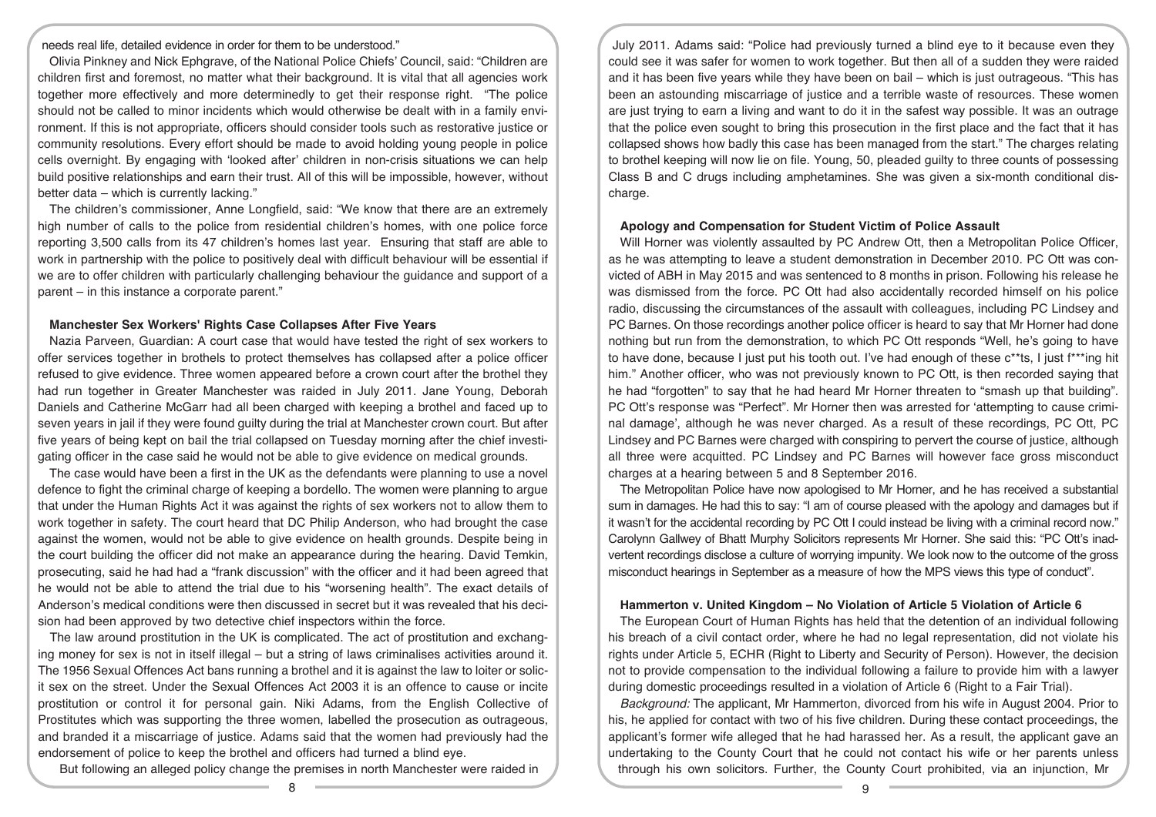needs real life, detailed evidence in order for them to be understood."

Olivia Pinkney and Nick Ephgrave, of the National Police Chiefs' Council, said: "Children are children first and foremost, no matter what their background. It is vital that all agencies work together more effectively and more determinedly to get their response right. "The police should not be called to minor incidents which would otherwise be dealt with in a family environment. If this is not appropriate, officers should consider tools such as restorative justice or community resolutions. Every effort should be made to avoid holding young people in police cells overnight. By engaging with 'looked after' children in non-crisis situations we can help build positive relationships and earn their trust. All of this will be impossible, however, without better data – which is currently lacking."

The children's commissioner, Anne Longfield, said: "We know that there are an extremely high number of calls to the police from residential children's homes, with one police force reporting 3,500 calls from its 47 children's homes last year. Ensuring that staff are able to work in partnership with the police to positively deal with difficult behaviour will be essential if we are to offer children with particularly challenging behaviour the guidance and support of a parent – in this instance a corporate parent."

## **Manchester Sex Workers' Rights Case Collapses After Five Years**

Nazia Parveen, Guardian: A court case that would have tested the right of sex workers to offer services together in brothels to protect themselves has collapsed after a police officer refused to give evidence. Three women appeared before a crown court after the brothel they had run together in Greater Manchester was raided in July 2011. Jane Young, Deborah Daniels and Catherine McGarr had all been charged with keeping a brothel and faced up to seven years in jail if they were found guilty during the trial at Manchester crown court. But after five years of being kept on bail the trial collapsed on Tuesday morning after the chief investigating officer in the case said he would not be able to give evidence on medical grounds.

The case would have been a first in the UK as the defendants were planning to use a novel defence to fight the criminal charge of keeping a bordello. The women were planning to argue that under the Human Rights Act it was against the rights of sex workers not to allow them to work together in safety. The court heard that DC Philip Anderson, who had brought the case against the women, would not be able to give evidence on health grounds. Despite being in the court building the officer did not make an appearance during the hearing. David Temkin, prosecuting, said he had had a "frank discussion" with the officer and it had been agreed that he would not be able to attend the trial due to his "worsening health". The exact details of Anderson's medical conditions were then discussed in secret but it was revealed that his decision had been approved by two detective chief inspectors within the force.

The law around prostitution in the UK is complicated. The act of prostitution and exchanging money for sex is not in itself illegal – but a string of laws criminalises activities around it. The 1956 Sexual Offences Act bans running a brothel and it is against the law to loiter or solicit sex on the street. Under the Sexual Offences Act 2003 it is an offence to cause or incite prostitution or control it for personal gain. Niki Adams, from the English Collective of Prostitutes which was supporting the three women, labelled the prosecution as outrageous, and branded it a miscarriage of justice. Adams said that the women had previously had the endorsement of police to keep the brothel and officers had turned a blind eye.

But following an alleged policy change the premises in north Manchester were raided in

July 2011. Adams said: "Police had previously turned a blind eye to it because even they could see it was safer for women to work together. But then all of a sudden they were raided and it has been five years while they have been on bail – which is just outrageous. "This has been an astounding miscarriage of justice and a terrible waste of resources. These women are just trying to earn a living and want to do it in the safest way possible. It was an outrage that the police even sought to bring this prosecution in the first place and the fact that it has collapsed shows how badly this case has been managed from the start." The charges relating to brothel keeping will now lie on file. Young, 50, pleaded guilty to three counts of possessing Class B and C drugs including amphetamines. She was given a six-month conditional discharge.

# **Apology and Compensation for Student Victim of Police Assault**

Will Horner was violently assaulted by PC Andrew Ott, then a Metropolitan Police Officer, as he was attempting to leave a student demonstration in December 2010. PC Ott was convicted of ABH in May 2015 and was sentenced to 8 months in prison. Following his release he was dismissed from the force. PC Ott had also accidentally recorded himself on his police radio, discussing the circumstances of the assault with colleagues, including PC Lindsey and PC Barnes. On those recordings another police officer is heard to say that Mr Horner had done nothing but run from the demonstration, to which PC Ott responds "Well, he's going to have to have done, because I just put his tooth out. I've had enough of these c\*\*ts, I just f\*\*\*ing hit him." Another officer, who was not previously known to PC Ott, is then recorded saying that he had "forgotten" to say that he had heard Mr Horner threaten to "smash up that building". PC Ott's response was "Perfect". Mr Horner then was arrested for 'attempting to cause criminal damage', although he was never charged. As a result of these recordings, PC Ott, PC Lindsey and PC Barnes were charged with conspiring to pervert the course of justice, although all three were acquitted. PC Lindsey and PC Barnes will however face gross misconduct charges at a hearing between 5 and 8 September 2016.

The Metropolitan Police have now apologised to Mr Horner, and he has received a substantial sum in damages. He had this to say: "I am of course pleased with the apology and damages but if it wasn't for the accidental recording by PC Ott I could instead be living with a criminal record now." Carolynn Gallwey of Bhatt Murphy Solicitors represents Mr Horner. She said this: "PC Ott's inadvertent recordings disclose a culture of worrying impunity. We look now to the outcome of the gross misconduct hearings in September as a measure of how the MPS views this type of conduct".

## **Hammerton v. United Kingdom – No Violation of Article 5 Violation of Article 6**

The European Court of Human Rights has held that the detention of an individual following his breach of a civil contact order, where he had no legal representation, did not violate his rights under Article 5, ECHR (Right to Liberty and Security of Person). However, the decision not to provide compensation to the individual following a failure to provide him with a lawyer during domestic proceedings resulted in a violation of Article 6 (Right to a Fair Trial).

*Background:* The applicant, Mr Hammerton, divorced from his wife in August 2004. Prior to his, he applied for contact with two of his five children. During these contact proceedings, the applicant's former wife alleged that he had harassed her. As a result, the applicant gave an undertaking to the County Court that he could not contact his wife or her parents unless through his own solicitors. Further, the County Court prohibited, via an injunction, Mr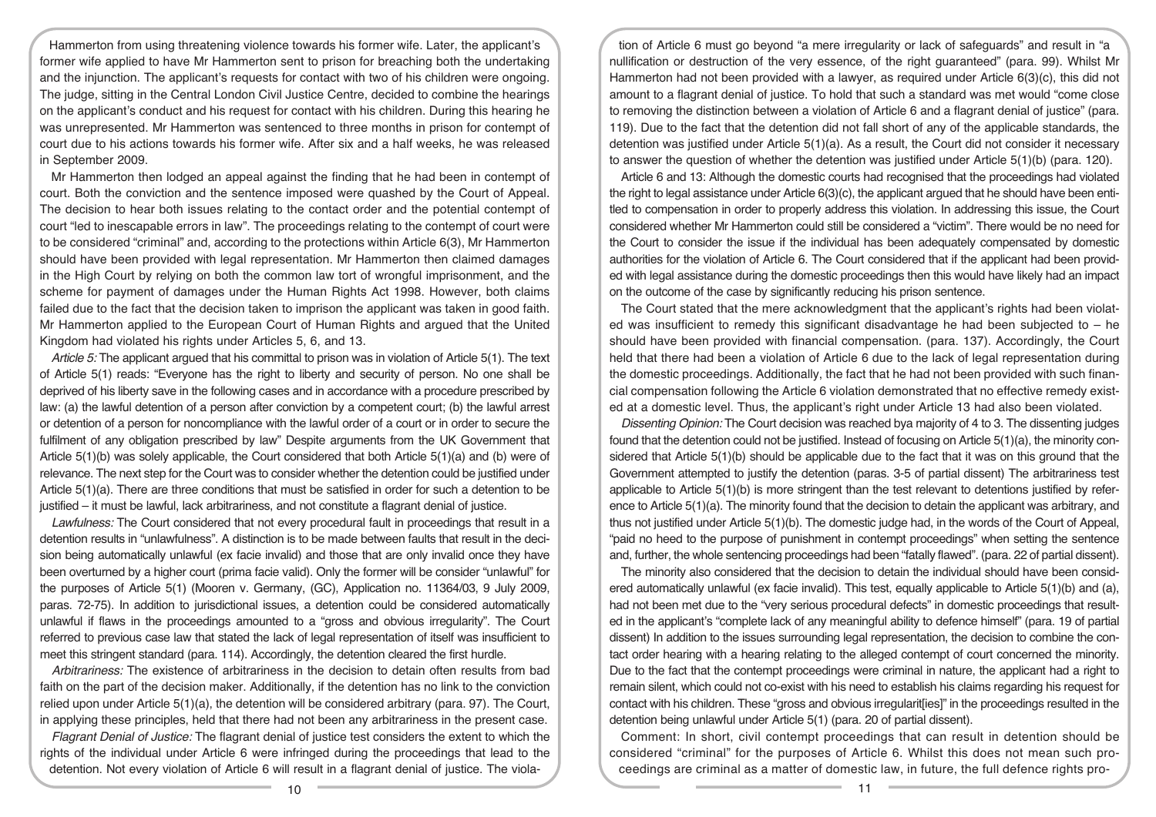Hammerton from using threatening violence towards his former wife. Later, the applicant's former wife applied to have Mr Hammerton sent to prison for breaching both the undertaking and the injunction. The applicant's requests for contact with two of his children were ongoing. The judge, sitting in the Central London Civil Justice Centre, decided to combine the hearings on the applicant's conduct and his request for contact with his children. During this hearing he was unrepresented. Mr Hammerton was sentenced to three months in prison for contempt of court due to his actions towards his former wife. After six and a half weeks, he was released in September 2009.

Mr Hammerton then lodged an appeal against the finding that he had been in contempt of court. Both the conviction and the sentence imposed were quashed by the Court of Appeal. The decision to hear both issues relating to the contact order and the potential contempt of court "led to inescapable errors in law". The proceedings relating to the contempt of court were to be considered "criminal" and, according to the protections within Article 6(3), Mr Hammerton should have been provided with legal representation. Mr Hammerton then claimed damages in the High Court by relying on both the common law tort of wrongful imprisonment, and the scheme for payment of damages under the Human Rights Act 1998. However, both claims failed due to the fact that the decision taken to imprison the applicant was taken in good faith. Mr Hammerton applied to the European Court of Human Rights and argued that the United Kingdom had violated his rights under Articles 5, 6, and 13.

*Article 5:* The applicant argued that his committal to prison was in violation of Article 5(1). The text of Article 5(1) reads: "Everyone has the right to liberty and security of person. No one shall be deprived of his liberty save in the following cases and in accordance with a procedure prescribed by law: (a) the lawful detention of a person after conviction by a competent court; (b) the lawful arrest or detention of a person for noncompliance with the lawful order of a court or in order to secure the fulfilment of any obligation prescribed by law" Despite arguments from the UK Government that Article 5(1)(b) was solely applicable, the Court considered that both Article 5(1)(a) and (b) were of relevance. The next step for the Court was to consider whether the detention could be justified under Article 5(1)(a). There are three conditions that must be satisfied in order for such a detention to be justified – it must be lawful, lack arbitrariness, and not constitute a flagrant denial of justice.

*Lawfulness:* The Court considered that not every procedural fault in proceedings that result in a detention results in "unlawfulness". A distinction is to be made between faults that result in the decision being automatically unlawful (ex facie invalid) and those that are only invalid once they have been overturned by a higher court (prima facie valid). Only the former will be consider "unlawful" for the purposes of Article 5(1) (Mooren v. Germany, (GC), Application no. 11364/03, 9 July 2009, paras. 72-75). In addition to jurisdictional issues, a detention could be considered automatically unlawful if flaws in the proceedings amounted to a "gross and obvious irregularity". The Court referred to previous case law that stated the lack of legal representation of itself was insufficient to meet this stringent standard (para. 114). Accordingly, the detention cleared the first hurdle.

*Arbitrariness:* The existence of arbitrariness in the decision to detain often results from bad faith on the part of the decision maker. Additionally, if the detention has no link to the conviction relied upon under Article 5(1)(a), the detention will be considered arbitrary (para. 97). The Court, in applying these principles, held that there had not been any arbitrariness in the present case.

*Flagrant Denial of Justice:* The flagrant denial of justice test considers the extent to which the rights of the individual under Article 6 were infringed during the proceedings that lead to the detention. Not every violation of Article 6 will result in a flagrant denial of justice. The viola-

tion of Article 6 must go beyond "a mere irregularity or lack of safeguards" and result in "a nullification or destruction of the very essence, of the right guaranteed" (para. 99). Whilst Mr Hammerton had not been provided with a lawyer, as required under Article 6(3)(c), this did not amount to a flagrant denial of justice. To hold that such a standard was met would "come close to removing the distinction between a violation of Article 6 and a flagrant denial of justice" (para. 119). Due to the fact that the detention did not fall short of any of the applicable standards, the detention was justified under Article 5(1)(a). As a result, the Court did not consider it necessary to answer the question of whether the detention was justified under Article 5(1)(b) (para. 120).

Article 6 and 13: Although the domestic courts had recognised that the proceedings had violated the right to legal assistance under Article  $6(3)(c)$ , the applicant argued that he should have been entitled to compensation in order to properly address this violation. In addressing this issue, the Court considered whether Mr Hammerton could still be considered a "victim". There would be no need for the Court to consider the issue if the individual has been adequately compensated by domestic authorities for the violation of Article 6. The Court considered that if the applicant had been provided with legal assistance during the domestic proceedings then this would have likely had an impact on the outcome of the case by significantly reducing his prison sentence.

The Court stated that the mere acknowledgment that the applicant's rights had been violated was insufficient to remedy this significant disadvantage he had been subjected to  $-$  he should have been provided with financial compensation. (para. 137). Accordingly, the Court held that there had been a violation of Article 6 due to the lack of legal representation during the domestic proceedings. Additionally, the fact that he had not been provided with such financial compensation following the Article 6 violation demonstrated that no effective remedy existed at a domestic level. Thus, the applicant's right under Article 13 had also been violated.

*Dissenting Opinion:* The Court decision was reached bya majority of 4 to 3. The dissenting judges found that the detention could not be justified. Instead of focusing on Article 5(1)(a), the minority considered that Article 5(1)(b) should be applicable due to the fact that it was on this ground that the Government attempted to justify the detention (paras. 3-5 of partial dissent) The arbitrariness test applicable to Article 5(1)(b) is more stringent than the test relevant to detentions justified by reference to Article 5(1)(a). The minority found that the decision to detain the applicant was arbitrary, and thus not justified under Article 5(1)(b). The domestic judge had, in the words of the Court of Appeal, "paid no heed to the purpose of punishment in contempt proceedings" when setting the sentence and, further, the whole sentencing proceedings had been "fatally flawed". (para. 22 of partial dissent).

The minority also considered that the decision to detain the individual should have been considered automatically unlawful (ex facie invalid). This test, equally applicable to Article 5(1)(b) and (a), had not been met due to the "very serious procedural defects" in domestic proceedings that resulted in the applicant's "complete lack of any meaningful ability to defence himself" (para. 19 of partial dissent) In addition to the issues surrounding legal representation, the decision to combine the contact order hearing with a hearing relating to the alleged contempt of court concerned the minority. Due to the fact that the contempt proceedings were criminal in nature, the applicant had a right to remain silent, which could not co-exist with his need to establish his claims regarding his request for contact with his children. These "gross and obvious irregularities]" in the proceedings resulted in the detention being unlawful under Article 5(1) (para. 20 of partial dissent).

Comment: In short, civil contempt proceedings that can result in detention should be considered "criminal" for the purposes of Article 6. Whilst this does not mean such proceedings are criminal as a matter of domestic law, in future, the full defence rights pro-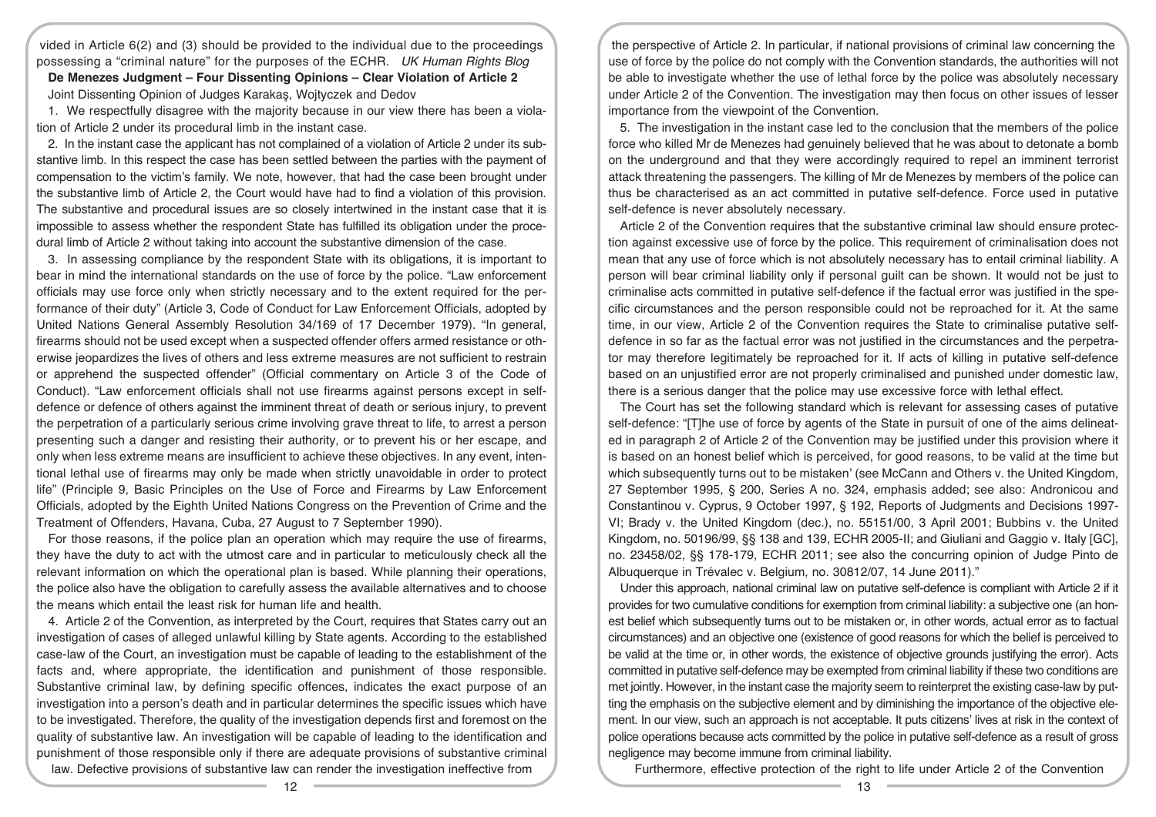vided in Article 6(2) and (3) should be provided to the individual due to the proceedings possessing a "criminal nature" for the purposes of the ECHR. *UK Human Rights Blog*

**De Menezes Judgment – Four Dissenting Opinions – Clear Violation of Article 2** Joint Dissenting Opinion of Judges Karakaş, Wojtyczek and Dedov

1. We respectfully disagree with the majority because in our view there has been a violation of Article 2 under its procedural limb in the instant case.

2. In the instant case the applicant has not complained of a violation of Article 2 under its substantive limb. In this respect the case has been settled between the parties with the payment of compensation to the victim's family. We note, however, that had the case been brought under the substantive limb of Article 2, the Court would have had to find a violation of this provision. The substantive and procedural issues are so closely intertwined in the instant case that it is impossible to assess whether the respondent State has fulfilled its obligation under the procedural limb of Article 2 without taking into account the substantive dimension of the case.

3. In assessing compliance by the respondent State with its obligations, it is important to bear in mind the international standards on the use of force by the police. "Law enforcement officials may use force only when strictly necessary and to the extent required for the performance of their duty" (Article 3, Code of Conduct for Law Enforcement Officials, adopted by United Nations General Assembly Resolution 34/169 of 17 December 1979). "In general, firearms should not be used except when a suspected offender offers armed resistance or otherwise jeopardizes the lives of others and less extreme measures are not sufficient to restrain or apprehend the suspected offender" (Official commentary on Article 3 of the Code of Conduct). "Law enforcement officials shall not use firearms against persons except in selfdefence or defence of others against the imminent threat of death or serious injury, to prevent the perpetration of a particularly serious crime involving grave threat to life, to arrest a person presenting such a danger and resisting their authority, or to prevent his or her escape, and only when less extreme means are insufficient to achieve these objectives. In any event, intentional lethal use of firearms may only be made when strictly unavoidable in order to protect life" (Principle 9, Basic Principles on the Use of Force and Firearms by Law Enforcement Officials, adopted by the Eighth United Nations Congress on the Prevention of Crime and the Treatment of Offenders, Havana, Cuba, 27 August to 7 September 1990).

For those reasons, if the police plan an operation which may require the use of firearms, they have the duty to act with the utmost care and in particular to meticulously check all the relevant information on which the operational plan is based. While planning their operations, the police also have the obligation to carefully assess the available alternatives and to choose the means which entail the least risk for human life and health.

4. Article 2 of the Convention, as interpreted by the Court, requires that States carry out an investigation of cases of alleged unlawful killing by State agents. According to the established case-law of the Court, an investigation must be capable of leading to the establishment of the facts and, where appropriate, the identification and punishment of those responsible. Substantive criminal law, by defining specific offences, indicates the exact purpose of an investigation into a person's death and in particular determines the specific issues which have to be investigated. Therefore, the quality of the investigation depends first and foremost on the quality of substantive law. An investigation will be capable of leading to the identification and punishment of those responsible only if there are adequate provisions of substantive criminal

law. Defective provisions of substantive law can render the investigation ineffective from

the perspective of Article 2. In particular, if national provisions of criminal law concerning the use of force by the police do not comply with the Convention standards, the authorities will not be able to investigate whether the use of lethal force by the police was absolutely necessary under Article 2 of the Convention. The investigation may then focus on other issues of lesser importance from the viewpoint of the Convention.

5. The investigation in the instant case led to the conclusion that the members of the police force who killed Mr de Menezes had genuinely believed that he was about to detonate a bomb on the underground and that they were accordingly required to repel an imminent terrorist attack threatening the passengers. The killing of Mr de Menezes by members of the police can thus be characterised as an act committed in putative self-defence. Force used in putative self-defence is never absolutely necessary.

Article 2 of the Convention requires that the substantive criminal law should ensure protection against excessive use of force by the police. This requirement of criminalisation does not mean that any use of force which is not absolutely necessary has to entail criminal liability. A person will bear criminal liability only if personal guilt can be shown. It would not be just to criminalise acts committed in putative self-defence if the factual error was justified in the specific circumstances and the person responsible could not be reproached for it. At the same time, in our view, Article 2 of the Convention requires the State to criminalise putative selfdefence in so far as the factual error was not justified in the circumstances and the perpetrator may therefore legitimately be reproached for it. If acts of killing in putative self-defence based on an unjustified error are not properly criminalised and punished under domestic law, there is a serious danger that the police may use excessive force with lethal effect.

The Court has set the following standard which is relevant for assessing cases of putative self-defence: "[T]he use of force by agents of the State in pursuit of one of the aims delineated in paragraph 2 of Article 2 of the Convention may be justified under this provision where it is based on an honest belief which is perceived, for good reasons, to be valid at the time but which subsequently turns out to be mistaken' (see McCann and Others v. the United Kingdom, 27 September 1995, § 200, Series A no. 324, emphasis added; see also: Andronicou and Constantinou v. Cyprus, 9 October 1997, § 192, Reports of Judgments and Decisions 1997- VI; Brady v. the United Kingdom (dec.), no. 55151/00, 3 April 2001; Bubbins v. the United Kingdom, no. 50196/99, §§ 138 and 139, ECHR 2005-II; and Giuliani and Gaggio v. Italy [GC], no. 23458/02, §§ 178-179, ECHR 2011; see also the concurring opinion of Judge Pinto de Albuquerque in Trévalec v. Belgium, no. 30812/07, 14 June 2011)."

Under this approach, national criminal law on putative self-defence is compliant with Article 2 if it provides for two cumulative conditions for exemption from criminal liability: a subjective one (an honest belief which subsequently turns out to be mistaken or, in other words, actual error as to factual circumstances) and an objective one (existence of good reasons for which the belief is perceived to be valid at the time or, in other words, the existence of objective grounds justifying the error). Acts committed in putative self-defence may be exempted from criminal liability if these two conditions are met jointly. However, in the instant case the majority seem to reinterpret the existing case-law by putting the emphasis on the subjective element and by diminishing the importance of the objective element. In our view, such an approach is not acceptable. It puts citizens' lives at risk in the context of police operations because acts committed by the police in putative self-defence as a result of gross negligence may become immune from criminal liability.

Furthermore, effective protection of the right to life under Article 2 of the Convention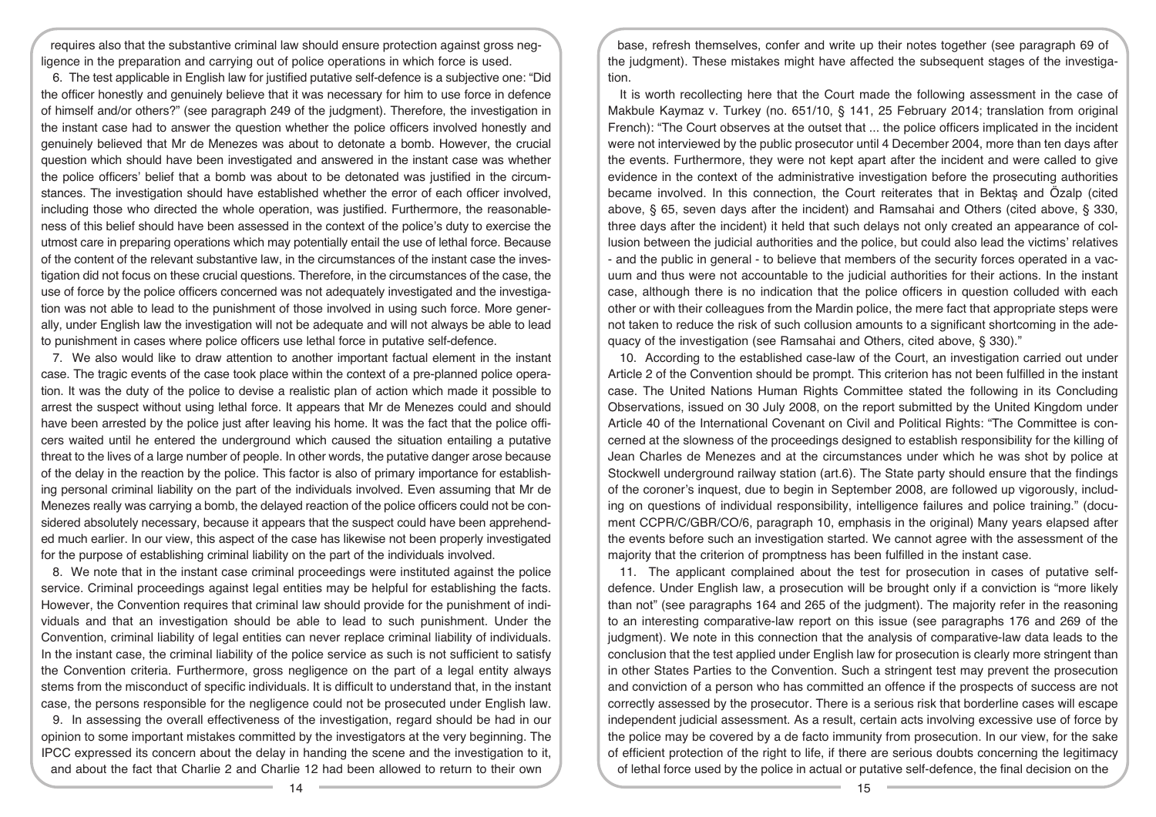requires also that the substantive criminal law should ensure protection against gross negligence in the preparation and carrying out of police operations in which force is used.

6. The test applicable in English law for justified putative self-defence is a subjective one: "Did the officer honestly and genuinely believe that it was necessary for him to use force in defence of himself and/or others?" (see paragraph 249 of the judgment). Therefore, the investigation in the instant case had to answer the question whether the police officers involved honestly and genuinely believed that Mr de Menezes was about to detonate a bomb. However, the crucial question which should have been investigated and answered in the instant case was whether the police officers' belief that a bomb was about to be detonated was justified in the circumstances. The investigation should have established whether the error of each officer involved, including those who directed the whole operation, was justified. Furthermore, the reasonableness of this belief should have been assessed in the context of the police's duty to exercise the utmost care in preparing operations which may potentially entail the use of lethal force. Because of the content of the relevant substantive law, in the circumstances of the instant case the investigation did not focus on these crucial questions. Therefore, in the circumstances of the case, the use of force by the police officers concerned was not adequately investigated and the investigation was not able to lead to the punishment of those involved in using such force. More generally, under English law the investigation will not be adequate and will not always be able to lead to punishment in cases where police officers use lethal force in putative self-defence.

7. We also would like to draw attention to another important factual element in the instant case. The tragic events of the case took place within the context of a pre-planned police operation. It was the duty of the police to devise a realistic plan of action which made it possible to arrest the suspect without using lethal force. It appears that Mr de Menezes could and should have been arrested by the police just after leaving his home. It was the fact that the police officers waited until he entered the underground which caused the situation entailing a putative threat to the lives of a large number of people. In other words, the putative danger arose because of the delay in the reaction by the police. This factor is also of primary importance for establishing personal criminal liability on the part of the individuals involved. Even assuming that Mr de Menezes really was carrying a bomb, the delayed reaction of the police officers could not be considered absolutely necessary, because it appears that the suspect could have been apprehended much earlier. In our view, this aspect of the case has likewise not been properly investigated for the purpose of establishing criminal liability on the part of the individuals involved.

8. We note that in the instant case criminal proceedings were instituted against the police service. Criminal proceedings against legal entities may be helpful for establishing the facts. However, the Convention requires that criminal law should provide for the punishment of individuals and that an investigation should be able to lead to such punishment. Under the Convention, criminal liability of legal entities can never replace criminal liability of individuals. In the instant case, the criminal liability of the police service as such is not sufficient to satisfy the Convention criteria. Furthermore, gross negligence on the part of a legal entity always stems from the misconduct of specific individuals. It is difficult to understand that, in the instant case, the persons responsible for the negligence could not be prosecuted under English law.

9. In assessing the overall effectiveness of the investigation, regard should be had in our opinion to some important mistakes committed by the investigators at the very beginning. The IPCC expressed its concern about the delay in handing the scene and the investigation to it, and about the fact that Charlie 2 and Charlie 12 had been allowed to return to their own

base, refresh themselves, confer and write up their notes together (see paragraph 69 of the judgment). These mistakes might have affected the subsequent stages of the investigation.

It is worth recollecting here that the Court made the following assessment in the case of Makbule Kaymaz v. Turkey (no. 651/10, § 141, 25 February 2014; translation from original French): "The Court observes at the outset that ... the police officers implicated in the incident were not interviewed by the public prosecutor until 4 December 2004, more than ten days after the events. Furthermore, they were not kept apart after the incident and were called to give evidence in the context of the administrative investigation before the prosecuting authorities became involved. In this connection, the Court reiterates that in Bektaş and Özalp (cited above, § 65, seven days after the incident) and Ramsahai and Others (cited above, § 330, three days after the incident) it held that such delays not only created an appearance of collusion between the judicial authorities and the police, but could also lead the victims' relatives - and the public in general - to believe that members of the security forces operated in a vacuum and thus were not accountable to the judicial authorities for their actions. In the instant case, although there is no indication that the police officers in question colluded with each other or with their colleagues from the Mardin police, the mere fact that appropriate steps were not taken to reduce the risk of such collusion amounts to a significant shortcoming in the adequacy of the investigation (see Ramsahai and Others, cited above, § 330)."

10. According to the established case-law of the Court, an investigation carried out under Article 2 of the Convention should be prompt. This criterion has not been fulfilled in the instant case. The United Nations Human Rights Committee stated the following in its Concluding Observations, issued on 30 July 2008, on the report submitted by the United Kingdom under Article 40 of the International Covenant on Civil and Political Rights: "The Committee is concerned at the slowness of the proceedings designed to establish responsibility for the killing of Jean Charles de Menezes and at the circumstances under which he was shot by police at Stockwell underground railway station (art.6). The State party should ensure that the findings of the coroner's inquest, due to begin in September 2008, are followed up vigorously, including on questions of individual responsibility, intelligence failures and police training." (document CCPR/C/GBR/CO/6, paragraph 10, emphasis in the original) Many years elapsed after the events before such an investigation started. We cannot agree with the assessment of the majority that the criterion of promptness has been fulfilled in the instant case.

11. The applicant complained about the test for prosecution in cases of putative selfdefence. Under English law, a prosecution will be brought only if a conviction is "more likely than not" (see paragraphs 164 and 265 of the judgment). The majority refer in the reasoning to an interesting comparative-law report on this issue (see paragraphs 176 and 269 of the judgment). We note in this connection that the analysis of comparative-law data leads to the conclusion that the test applied under English law for prosecution is clearly more stringent than in other States Parties to the Convention. Such a stringent test may prevent the prosecution and conviction of a person who has committed an offence if the prospects of success are not correctly assessed by the prosecutor. There is a serious risk that borderline cases will escape independent judicial assessment. As a result, certain acts involving excessive use of force by the police may be covered by a de facto immunity from prosecution. In our view, for the sake of efficient protection of the right to life, if there are serious doubts concerning the legitimacy of lethal force used by the police in actual or putative self-defence, the final decision on the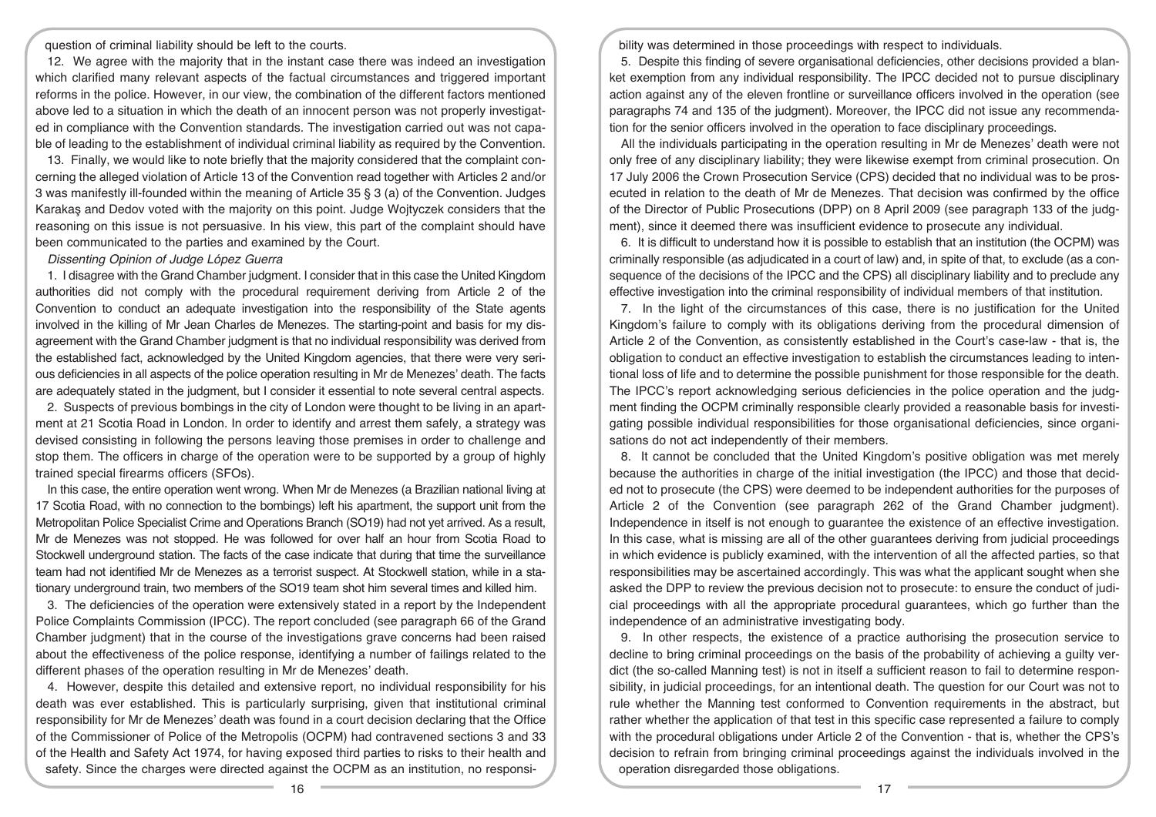question of criminal liability should be left to the courts.

12. We agree with the majority that in the instant case there was indeed an investigation which clarified many relevant aspects of the factual circumstances and triggered important reforms in the police. However, in our view, the combination of the different factors mentioned above led to a situation in which the death of an innocent person was not properly investigated in compliance with the Convention standards. The investigation carried out was not capable of leading to the establishment of individual criminal liability as required by the Convention.

13. Finally, we would like to note briefly that the majority considered that the complaint concerning the alleged violation of Article 13 of the Convention read together with Articles 2 and/or 3 was manifestly ill-founded within the meaning of Article 35 § 3 (a) of the Convention. Judges Karakaş and Dedov voted with the majority on this point. Judge Wojtyczek considers that the reasoning on this issue is not persuasive. In his view, this part of the complaint should have been communicated to the parties and examined by the Court.

*Dissenting Opinion of Judge López Guerra*

1. I disagree with the Grand Chamber judgment. I consider that in this case the United Kingdom authorities did not comply with the procedural requirement deriving from Article 2 of the Convention to conduct an adequate investigation into the responsibility of the State agents involved in the killing of Mr Jean Charles de Menezes. The starting-point and basis for my disagreement with the Grand Chamber judgment is that no individual responsibility was derived from the established fact, acknowledged by the United Kingdom agencies, that there were very serious deficiencies in all aspects of the police operation resulting in Mr de Menezes' death. The facts are adequately stated in the judgment, but I consider it essential to note several central aspects.

2. Suspects of previous bombings in the city of London were thought to be living in an apartment at 21 Scotia Road in London. In order to identify and arrest them safely, a strategy was devised consisting in following the persons leaving those premises in order to challenge and stop them. The officers in charge of the operation were to be supported by a group of highly trained special firearms officers (SFOs).

In this case, the entire operation went wrong. When Mr de Menezes (a Brazilian national living at 17 Scotia Road, with no connection to the bombings) left his apartment, the support unit from the Metropolitan Police Specialist Crime and Operations Branch (SO19) had not yet arrived. As a result, Mr de Menezes was not stopped. He was followed for over half an hour from Scotia Road to Stockwell underground station. The facts of the case indicate that during that time the surveillance team had not identified Mr de Menezes as a terrorist suspect. At Stockwell station, while in a stationary underground train, two members of the SO19 team shot him several times and killed him.

3. The deficiencies of the operation were extensively stated in a report by the Independent Police Complaints Commission (IPCC). The report concluded (see paragraph 66 of the Grand Chamber judgment) that in the course of the investigations grave concerns had been raised about the effectiveness of the police response, identifying a number of failings related to the different phases of the operation resulting in Mr de Menezes' death.

4. However, despite this detailed and extensive report, no individual responsibility for his death was ever established. This is particularly surprising, given that institutional criminal responsibility for Mr de Menezes' death was found in a court decision declaring that the Office of the Commissioner of Police of the Metropolis (OCPM) had contravened sections 3 and 33 of the Health and Safety Act 1974, for having exposed third parties to risks to their health and safety. Since the charges were directed against the OCPM as an institution, no responsibility was determined in those proceedings with respect to individuals.

5. Despite this finding of severe organisational deficiencies, other decisions provided a blanket exemption from any individual responsibility. The IPCC decided not to pursue disciplinary action against any of the eleven frontline or surveillance officers involved in the operation (see paragraphs 74 and 135 of the judgment). Moreover, the IPCC did not issue any recommendation for the senior officers involved in the operation to face disciplinary proceedings.

All the individuals participating in the operation resulting in Mr de Menezes' death were not only free of any disciplinary liability; they were likewise exempt from criminal prosecution. On 17 July 2006 the Crown Prosecution Service (CPS) decided that no individual was to be prosecuted in relation to the death of Mr de Menezes. That decision was confirmed by the office of the Director of Public Prosecutions (DPP) on 8 April 2009 (see paragraph 133 of the judgment), since it deemed there was insufficient evidence to prosecute any individual.

6. It is difficult to understand how it is possible to establish that an institution (the OCPM) was criminally responsible (as adjudicated in a court of law) and, in spite of that, to exclude (as a consequence of the decisions of the IPCC and the CPS) all disciplinary liability and to preclude any effective investigation into the criminal responsibility of individual members of that institution.

7. In the light of the circumstances of this case, there is no justification for the United Kingdom's failure to comply with its obligations deriving from the procedural dimension of Article 2 of the Convention, as consistently established in the Court's case-law - that is, the obligation to conduct an effective investigation to establish the circumstances leading to intentional loss of life and to determine the possible punishment for those responsible for the death. The IPCC's report acknowledging serious deficiencies in the police operation and the judgment finding the OCPM criminally responsible clearly provided a reasonable basis for investigating possible individual responsibilities for those organisational deficiencies, since organisations do not act independently of their members.

8. It cannot be concluded that the United Kingdom's positive obligation was met merely because the authorities in charge of the initial investigation (the IPCC) and those that decided not to prosecute (the CPS) were deemed to be independent authorities for the purposes of Article 2 of the Convention (see paragraph 262 of the Grand Chamber judgment). Independence in itself is not enough to guarantee the existence of an effective investigation. In this case, what is missing are all of the other guarantees deriving from judicial proceedings in which evidence is publicly examined, with the intervention of all the affected parties, so that responsibilities may be ascertained accordingly. This was what the applicant sought when she asked the DPP to review the previous decision not to prosecute: to ensure the conduct of judicial proceedings with all the appropriate procedural guarantees, which go further than the independence of an administrative investigating body.

9. In other respects, the existence of a practice authorising the prosecution service to decline to bring criminal proceedings on the basis of the probability of achieving a guilty verdict (the so-called Manning test) is not in itself a sufficient reason to fail to determine responsibility, in judicial proceedings, for an intentional death. The question for our Court was not to rule whether the Manning test conformed to Convention requirements in the abstract, but rather whether the application of that test in this specific case represented a failure to comply with the procedural obligations under Article 2 of the Convention - that is, whether the CPS's decision to refrain from bringing criminal proceedings against the individuals involved in the operation disregarded those obligations.